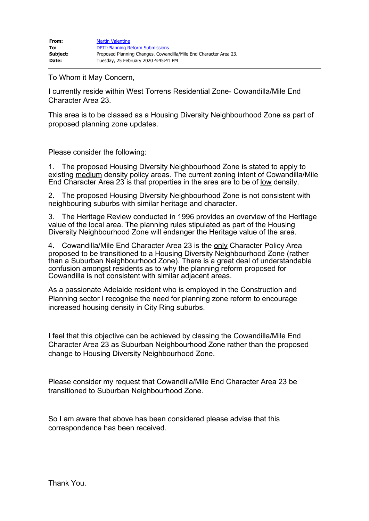To Whom it May Concern,

I currently reside within West Torrens Residential Zone- Cowandilla/Mile End Character Area 23.

This area is to be classed as a Housing Diversity Neighbourhood Zone as part of proposed planning zone updates.

Please consider the following:

1. The proposed Housing Diversity Neighbourhood Zone is stated to apply to existing medium density policy areas. The current zoning intent of Cowandilla/Mile End Character Area 23 is that properties in the area are to be of low density.

2. The proposed Housing Diversity Neighbourhood Zone is not consistent with neighbouring suburbs with similar heritage and character.

3. The Heritage Review conducted in 1996 provides an overview of the Heritage value of the local area. The planning rules stipulated as part of the Housing Diversity Neighbourhood Zone will endanger the Heritage value of the area.

4. Cowandilla/Mile End Character Area 23 is the only Character Policy Area proposed to be transitioned to a Housing Diversity Neighbourhood Zone (rather than a Suburban Neighbourhood Zone). There is a great deal of understandable confusion amongst residents as to why the planning reform proposed for Cowandilla is not consistent with similar adjacent areas.

As a passionate Adelaide resident who is employed in the Construction and Planning sector I recognise the need for planning zone reform to encourage increased housing density in City Ring suburbs.

I feel that this objective can be achieved by classing the Cowandilla/Mile End Character Area 23 as Suburban Neighbourhood Zone rather than the proposed change to Housing Diversity Neighbourhood Zone.

Please consider my request that Cowandilla/Mile End Character Area 23 be transitioned to Suburban Neighbourhood Zone.

So I am aware that above has been considered please advise that this correspondence has been received.